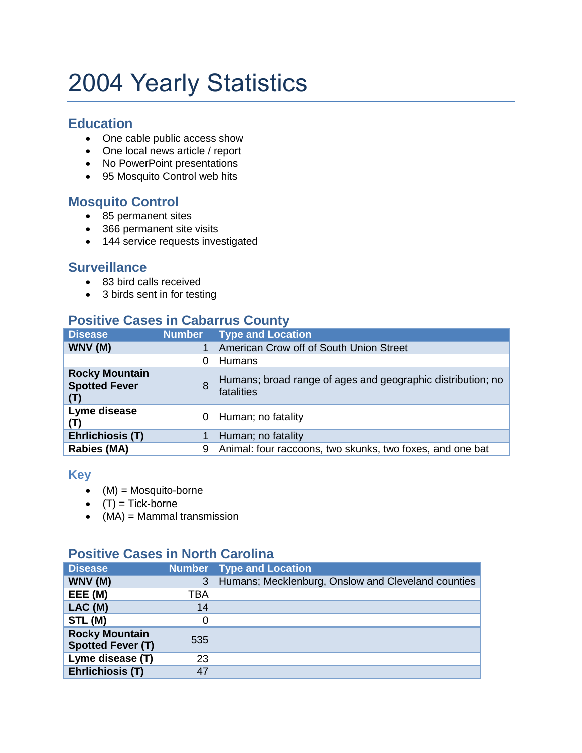# 2004 Yearly Statistics

### **Education**

- One cable public access show
- One local news article / report
- No PowerPoint presentations
- 95 Mosquito Control web hits

# **Mosquito Control**

- 85 permanent sites
- 366 permanent site visits
- 144 service requests investigated

#### **Surveillance**

- 83 bird calls received
- 3 birds sent in for testing

# **Positive Cases in Cabarrus County**

| <b>Disease</b>                                       | <b>Number</b> | <b>Type and Location</b>                                                  |
|------------------------------------------------------|---------------|---------------------------------------------------------------------------|
| WNV (M)                                              |               | American Crow off of South Union Street                                   |
|                                                      | 0             | Humans                                                                    |
| <b>Rocky Mountain</b><br><b>Spotted Fever</b><br>(T) | 8             | Humans; broad range of ages and geographic distribution; no<br>fatalities |
| Lyme disease<br>(T)                                  |               | 0 Human; no fatality                                                      |
| <b>Ehrlichiosis (T)</b>                              |               | Human; no fatality                                                        |
| <b>Rabies (MA)</b>                                   | 9             | Animal: four raccoons, two skunks, two foxes, and one bat                 |

#### **Key**

- $(M) = \text{Mosquito-borne}$
- $(T) =$ Tick-borne
- $(MA) = Mammal transmission$

# **Positive Cases in North Carolina**

| <b>Disease</b>                                    |     | <b>Number</b> Type and Location                    |
|---------------------------------------------------|-----|----------------------------------------------------|
| WNV (M)                                           | 3   | Humans; Mecklenburg, Onslow and Cleveland counties |
| EEE (M)                                           | TBA |                                                    |
| LAC(M)                                            | 14  |                                                    |
| STL (M)                                           |     |                                                    |
| <b>Rocky Mountain</b><br><b>Spotted Fever (T)</b> | 535 |                                                    |
| Lyme disease (T)                                  | 23  |                                                    |
| Ehrlichiosis (T)                                  | 47  |                                                    |